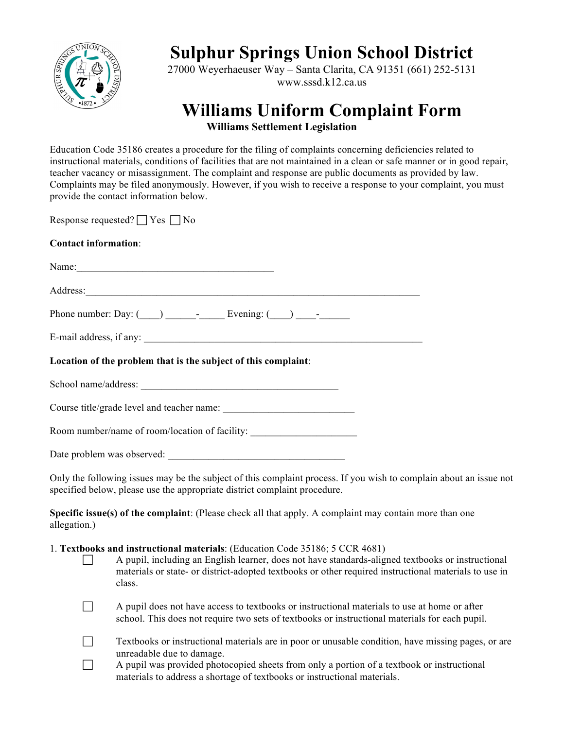

# **Sulphur Springs Union School District**

27000 Weyerhaeuser Way – Santa Clarita, CA 91351 (661) 252-5131 www.sssd.k12.ca.us

## **Williams Uniform Complaint Form Williams Settlement Legislation**

Education Code 35186 creates a procedure for the filing of complaints concerning deficiencies related to instructional materials, conditions of facilities that are not maintained in a clean or safe manner or in good repair, teacher vacancy or misassignment. The complaint and response are public documents as provided by law. Complaints may be filed anonymously. However, if you wish to receive a response to your complaint, you must provide the contact information below.

Response requested?  $\Box$  Yes  $\Box$  No

### **Contact information**:

Name: Address:

Phone number: Day: (\_\_\_\_) \_\_\_\_\_\_-\_\_\_\_\_ Evening: (\_\_\_\_) \_\_\_\_-\_\_\_\_\_\_

| E-mail address, if any: |  |
|-------------------------|--|
|-------------------------|--|

**Location of the problem that is the subject of this complaint**:

School name/address:

Course title/grade level and teacher name:

Room number/name of room/location of facility:

Date problem was observed:

Only the following issues may be the subject of this complaint process. If you wish to complain about an issue not specified below, please use the appropriate district complaint procedure.

**Specific issue(s) of the complaint**: (Please check all that apply. A complaint may contain more than one allegation.)

#### 1. **Textbooks and instructional materials**: (Education Code 35186; 5 CCR 4681)

! A pupil, including an English learner, does not have standards-aligned textbooks or instructional materials or state- or district-adopted textbooks or other required instructional materials to use in class.

! A pupil does not have access to textbooks or instructional materials to use at home or after school. This does not require two sets of textbooks or instructional materials for each pupil.

| Textbooks or instructional materials are in poor or unusable condition, have missing pages, or are |
|----------------------------------------------------------------------------------------------------|
| unreadable due to damage.                                                                          |

 $\Box$  A pupil was provided photocopied sheets from only a portion of a textbook or instructional materials to address a shortage of textbooks or instructional materials.